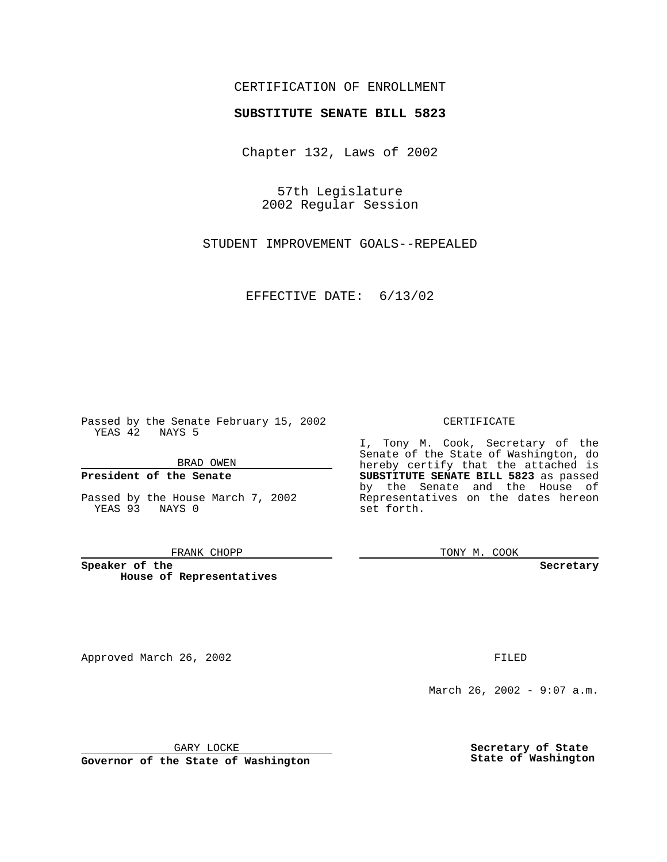## CERTIFICATION OF ENROLLMENT

# **SUBSTITUTE SENATE BILL 5823**

Chapter 132, Laws of 2002

57th Legislature 2002 Regular Session

STUDENT IMPROVEMENT GOALS--REPEALED

EFFECTIVE DATE: 6/13/02

Passed by the Senate February 15, 2002 YEAS 42 NAYS 5

BRAD OWEN

### **President of the Senate**

Passed by the House March 7, 2002 YEAS 93 NAYS 0

#### FRANK CHOPP

**Speaker of the House of Representatives**

Approved March 26, 2002 **FILED** 

### CERTIFICATE

I, Tony M. Cook, Secretary of the Senate of the State of Washington, do hereby certify that the attached is **SUBSTITUTE SENATE BILL 5823** as passed by the Senate and the House of Representatives on the dates hereon set forth.

TONY M. COOK

**Secretary**

March 26, 2002 - 9:07 a.m.

GARY LOCKE

**Governor of the State of Washington**

**Secretary of State State of Washington**